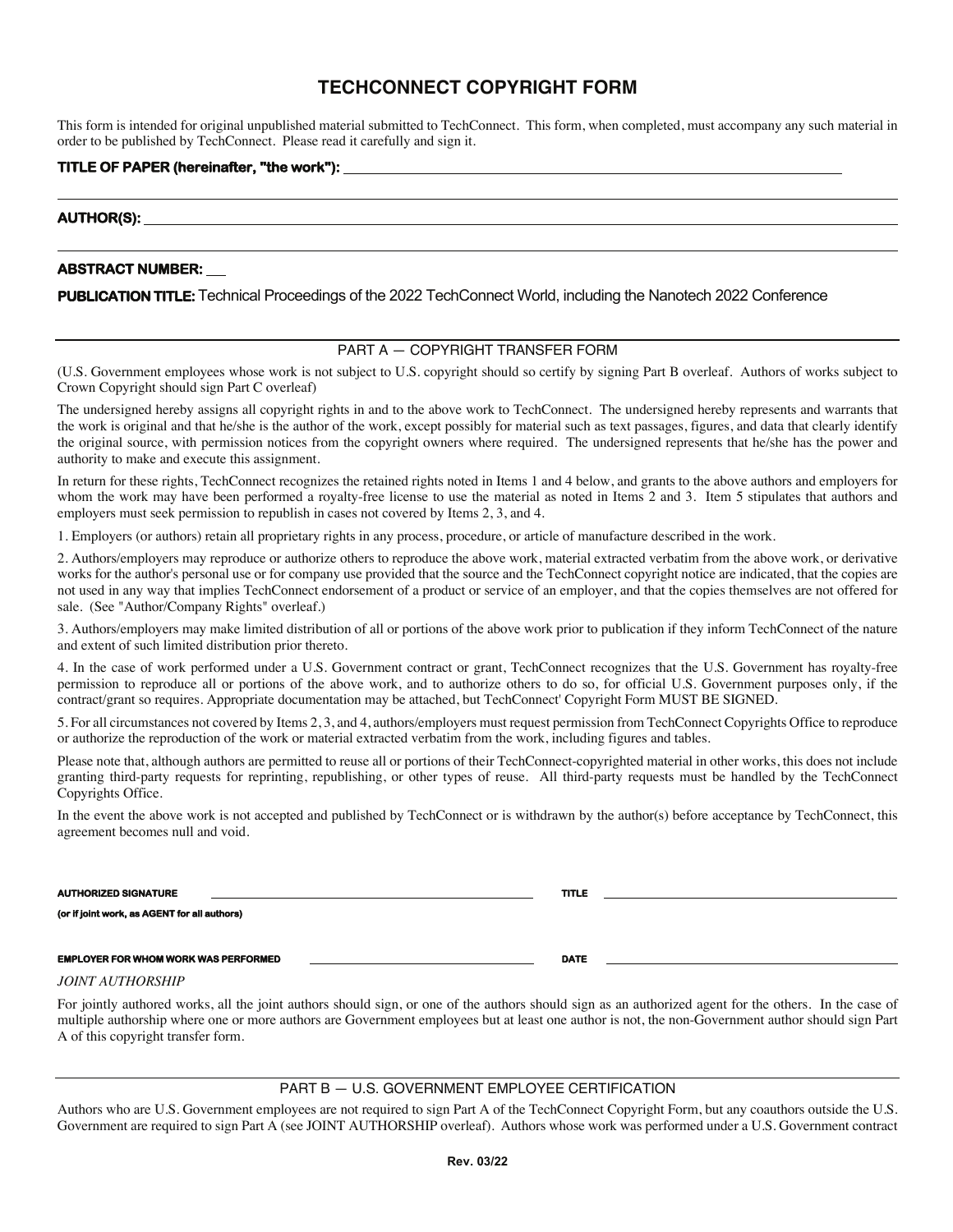# **TECHCONNECT COPYRIGHT FORM**

This form is intended for original unpublished material submitted to TechConnect. This form, when completed, must accompany any such material in order to be published by TechConnect. Please read it carefully and sign it.

## **TITLE OF PAPER (hereinafter, "the work"):**

## **AUTHOR(S):**

# **ABSTRACT NUMBER:**

PUBLICATION TITLE: Technical Proceedings of the 2022 TechConnect World, including the Nanotech 2022 Conference

# PART A — COPYRIGHT TRANSFER FORM

(U.S. Government employees whose work is not subject to U.S. copyright should so certify by signing Part B overleaf. Authors of works subject to Crown Copyright should sign Part C overleaf)

The undersigned hereby assigns all copyright rights in and to the above work to TechConnect. The undersigned hereby represents and warrants that the work is original and that he/she is the author of the work, except possibly for material such as text passages, figures, and data that clearly identify the original source, with permission notices from the copyright owners where required. The undersigned represents that he/she has the power and authority to make and execute this assignment.

In return for these rights, TechConnect recognizes the retained rights noted in Items 1 and 4 below, and grants to the above authors and employers for whom the work may have been performed a royalty-free license to use the material as noted in Items 2 and 3. Item 5 stipulates that authors and employers must seek permission to republish in cases not covered by Items 2, 3, and 4.

1. Employers (or authors) retain all proprietary rights in any process, procedure, or article of manufacture described in the work.

2. Authors/employers may reproduce or authorize others to reproduce the above work, material extracted verbatim from the above work, or derivative works for the author's personal use or for company use provided that the source and the TechConnect copyright notice are indicated, that the copies are not used in any way that implies TechConnect endorsement of a product or service of an employer, and that the copies themselves are not offered for sale. (See "Author/Company Rights" overleaf.)

3. Authors/employers may make limited distribution of all or portions of the above work prior to publication if they inform TechConnect of the nature and extent of such limited distribution prior thereto.

4. In the case of work performed under a U.S. Government contract or grant, TechConnect recognizes that the U.S. Government has royalty-free permission to reproduce all or portions of the above work, and to authorize others to do so, for official U.S. Government purposes only, if the contract/grant so requires. Appropriate documentation may be attached, but TechConnect' Copyright Form MUST BE SIGNED.

5. For all circumstances not covered by Items 2, 3, and 4, authors/employers must request permission from TechConnect Copyrights Office to reproduce or authorize the reproduction of the work or material extracted verbatim from the work, including figures and tables.

Please note that, although authors are permitted to reuse all or portions of their TechConnect-copyrighted material in other works, this does not include granting third-party requests for reprinting, republishing, or other types of reuse. All third-party requests must be handled by the TechConnect Copyrights Office.

In the event the above work is not accepted and published by TechConnect or is withdrawn by the author(s) before acceptance by TechConnect, this agreement becomes null and void.

| <b>AUTHORIZED SIGNATURE</b>                  | <b>TITLE</b> |  |
|----------------------------------------------|--------------|--|
| (or if joint work, as AGENT for all authors) |              |  |
|                                              |              |  |
| <b>EMPLOYER FOR WHOM WORK WAS PERFORMED</b>  | <b>DATE</b>  |  |

*JOINT AUTHORSHIP*

For jointly authored works, all the joint authors should sign, or one of the authors should sign as an authorized agent for the others. In the case of multiple authorship where one or more authors are Government employees but at least one author is not, the non-Government author should sign Part A of this copyright transfer form.

### PART B — U.S. GOVERNMENT EMPLOYEE CERTIFICATION

Authors who are U.S. Government employees are not required to sign Part A of the TechConnect Copyright Form, but any coauthors outside the U.S. Government are required to sign Part A (see JOINT AUTHORSHIP overleaf). Authors whose work was performed under a U.S. Government contract